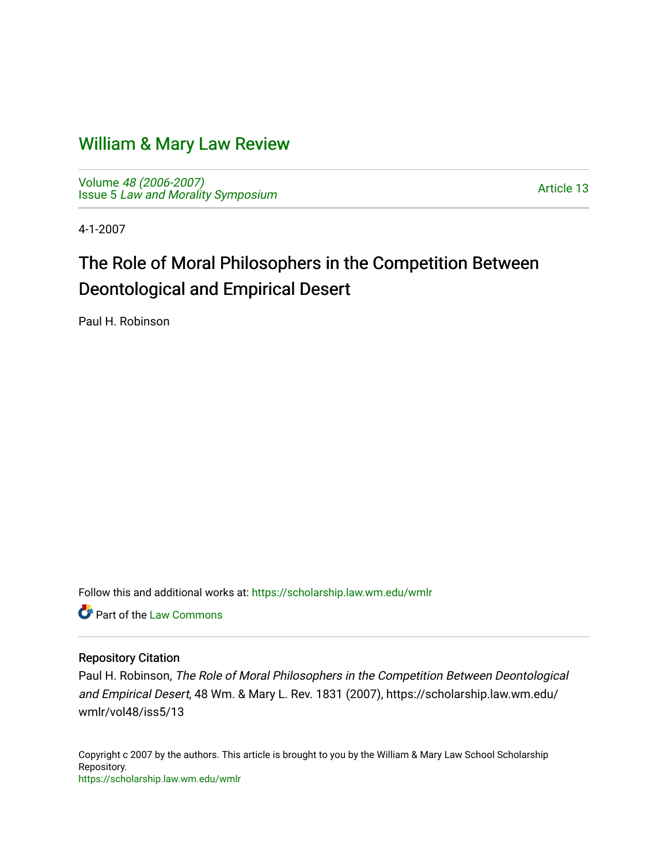# [William & Mary Law Review](https://scholarship.law.wm.edu/wmlr)

Volume [48 \(2006-2007\)](https://scholarship.law.wm.edu/wmlr/vol48)  Issue 5 [Law and Morality Symposium](https://scholarship.law.wm.edu/wmlr/vol48/iss5) 

[Article 13](https://scholarship.law.wm.edu/wmlr/vol48/iss5/13) 

4-1-2007

# The Role of Moral Philosophers in the Competition Between Deontological and Empirical Desert

Paul H. Robinson

Follow this and additional works at: [https://scholarship.law.wm.edu/wmlr](https://scholarship.law.wm.edu/wmlr?utm_source=scholarship.law.wm.edu%2Fwmlr%2Fvol48%2Fiss5%2F13&utm_medium=PDF&utm_campaign=PDFCoverPages)

Part of the [Law Commons](http://network.bepress.com/hgg/discipline/578?utm_source=scholarship.law.wm.edu%2Fwmlr%2Fvol48%2Fiss5%2F13&utm_medium=PDF&utm_campaign=PDFCoverPages)

# Repository Citation

Paul H. Robinson, The Role of Moral Philosophers in the Competition Between Deontological and Empirical Desert, 48 Wm. & Mary L. Rev. 1831 (2007), https://scholarship.law.wm.edu/ wmlr/vol48/iss5/13

Copyright c 2007 by the authors. This article is brought to you by the William & Mary Law School Scholarship Repository. <https://scholarship.law.wm.edu/wmlr>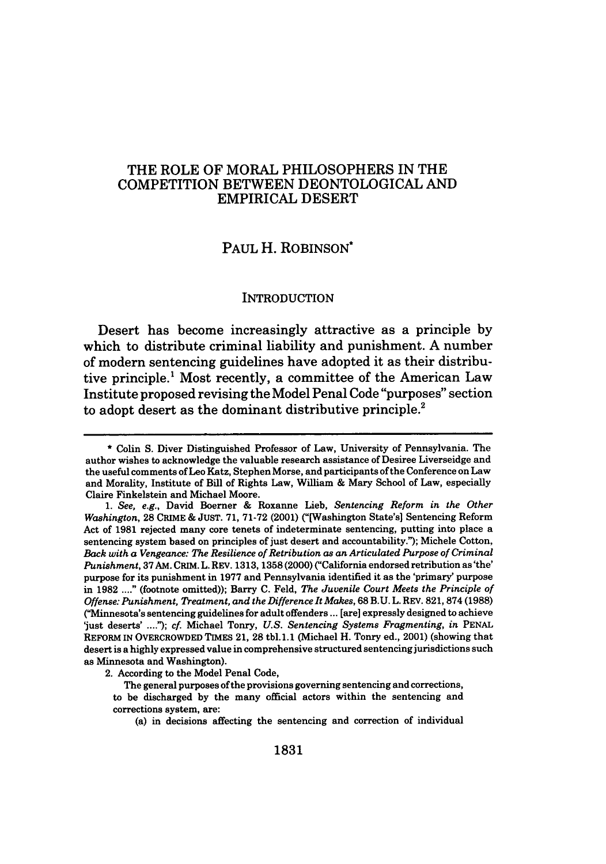# THE ROLE OF MORAL PHILOSOPHERS IN THE COMPETITION **BETWEEN** DEONTOLOGICAL **AND** EMPIRICAL DESERT

## **PAUL** H. ROBINSON\*

#### **INTRODUCTION**

Desert has become increasingly attractive as a principle **by** which to distribute criminal liability and punishment. **A** number of modern sentencing guidelines have adopted it as their distributive principle.<sup>1</sup> Most recently, a committee of the American Law Institute proposed revising the Model Penal Code "purposes" section to adopt desert as the dominant distributive principle.<sup>2</sup>

2. According to the Model Penal Code,

(a) in decisions affecting the sentencing and correction of individual

**<sup>\*</sup>** Cohn **S.** Diver Distinguished Professor of Law, University of Pennsylvania. The author wishes to acknowledge the valuable research assistance of Desiree Liverseidge and the useful comments of Leo Katz, Stephen Morse, and participants of the Conference on Law and Morality, Institute of Bill of Rights Law, William & Mary School of Law, especially Claire Finkelstein and Michael Moore.

*<sup>1.</sup> See, e.g.,* David Boerner & Roxanne Lieb, *Sentencing Reform in the Other Washington,* 28 CRIME & JUST. 71, 71-72 (2001) ("[Washington State's] Sentencing Reform Act of 1981 rejected many core tenets of indeterminate sentencing, putting into place a sentencing system based on principles of just desert and accountability."); Michele Cotton, *Back with a Vengeance: The Resilience of Retribution as an Articulated Purpose of Criminal Punishment,* 37 **AM.** CRIM. L. REV. 1313, 1358 (2000) ("California endorsed retribution as'the' purpose for its punishment in 1977 and Pennsylvania identified it as the 'primary' purpose in 1982 .... " (footnote omitted)); Barry **C.** Feld, *The Juvenile Court Meets the Principle of Offense: Punishment, Treatment, and the Difference It Makes,* **68** B.U. L. REV. 821,874 (1988) ("Minnesota's sentencing guidelines for adult offenders... [are] expressly designed to achieve 'just deserts' .... "); *cf.* Michael Tonry, *U.S. Sentencing Systems Fragmenting, in* **PENAL** REFORM IN OVERCROWDED TIMES 21, **28** tbl.1.1 (Michael H. Tonry ed., 2001) (showing that desert is a highly expressed value in comprehensive structured sentencing jurisdictions such as Minnesota and Washington).

The general purposes of the provisions governing sentencing and corrections, to be discharged by the many official actors within the sentencing and corrections system, are: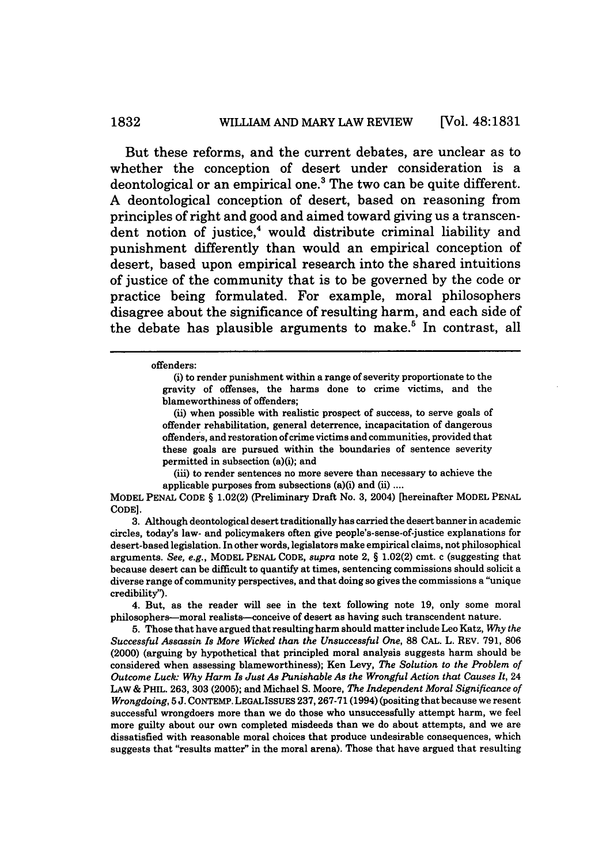But these reforms, and the current debates, are unclear as to whether the conception of desert under consideration is a deontological or an empirical one.' The two can be quite different. **A** deontological conception of desert, based on reasoning from principles of right and good and aimed toward giving us a transcendent notion of justice,<sup>4</sup> would distribute criminal liability and punishment differently than would an empirical conception of desert, based upon empirical research into the shared intuitions of justice of the community that is to be governed **by** the code or practice being formulated. For example, moral philosophers disagree about the significance of resulting harm, and each side of the debate has plausible arguments to make.<sup>5</sup> In contrast, all

offenders:

(i) to render punishment within a range of severity proportionate to the gravity of offenses, the harms done to crime victims, and the blameworthiness of offenders;

(ii) when possible with realistic prospect of success, to serve goals of offender rehabilitation, general deterrence, incapacitation of dangerous offenders, and restoration of crime victims and communities, provided that these goals are pursued within the boundaries of sentence severity permitted in subsection (a)(i); and

(iii) to render sentences no more severe than necessary to achieve the applicable purposes from subsections (a)(i) and (ii) **....**

MODEL **PENAL CODE** § 1.02(2) (Preliminary Draft No. **3,** 2004) [hereinafter MODEL **PENAL CODE].**

3. Although deontological desert traditionally has carried the desert banner in academic circles, today's law- and policymakers often give people's-sense-of-justice explanations for desert-based legislation. In other words, legislators make empirical claims, not philosophical arguments. *See, e.g.,* MODEL PENAL **CODE,** *supra* note 2, § 1.02(2) cmt. c (suggesting that because desert can be difficult to quantify at times, sentencing commissions should solicit a diverse range of community perspectives, and that doing so gives the commissions a "unique credibility').

4. But, as the reader will see in the text following note **19,** only some moral philosophers-moral realists-conceive of desert as having such transcendent nature.

**5.** Those that have argued that resulting harm should matter include Leo Katz, *Why the Successful Assassin Is More Wicked than the Unsuccessful One,* **88 CAL.** L. REV. 791, **806** (2000) (arguing by hypothetical that principled moral analysis suggests harm should be considered when assessing blameworthiness); Ken Levy, *The Solution to the Problem of Outcome Luck: Why Harm Is Just As Punishable As the Wrongful Action that Causes It,* <sup>24</sup> **LAW** & PHIL. 263, 303 (2005); and Michael **S.** Moore, *The Independent Moral Significance of Wrongdoing,* 5 J. CONTEMP. **LEGALISSUES** 237,267-71 (1994) (positing that because we resent successful wrongdoers more than we do those who unsuccessfully attempt harm, we feel more guilty about our own completed misdeeds than we do about attempts, and we are dissatisfied with reasonable moral choices that produce undesirable consequences, which suggests that "results matter" in the moral arena). Those that have argued that resulting

1832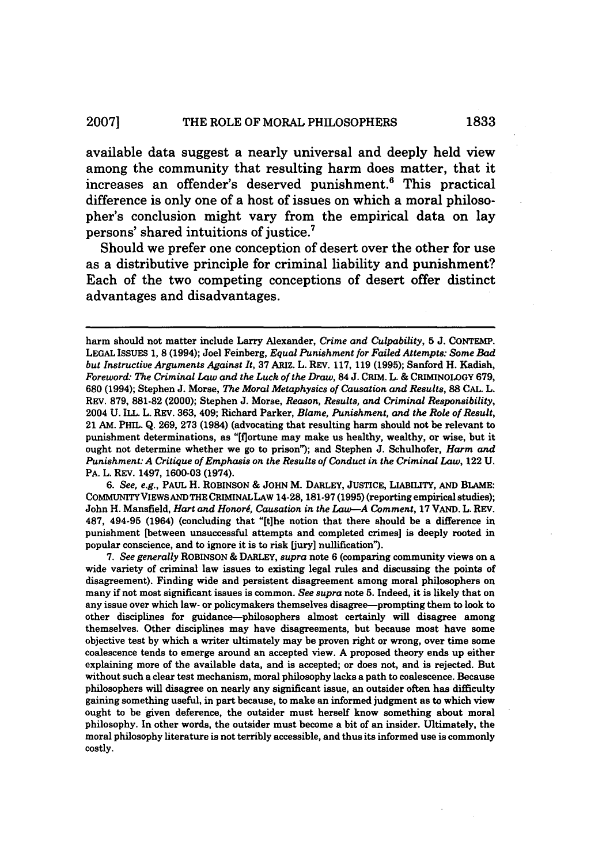#### 20071 THE ROLE OF MORAL PHILOSOPHERS **1833**

available data suggest a nearly universal and deeply held view among the community that resulting harm does matter, that it increases an offender's deserved punishment.<sup>6</sup> This practical difference is only one of a host of issues on which a moral philosopher's conclusion might vary from the empirical data on lay persons' shared intuitions of justice.7

Should we prefer one conception of desert over the other for use as a distributive principle for criminal liability and punishment? Each of the two competing conceptions of desert offer distinct advantages and disadvantages.

*6. See, e.g.,* PAUL H. **ROBINSON & JOHN** M. DARLEY, **JUSTICE,** LIABILITY, **AND** BLAME: COMMUNITYVIEWSAND THE **CRIMINALLAW 14-28, 181-97 (1995)** (reporting empirical studies); John H. Mansfield, *Hart and Honorg, Causation in the Law-A Comment,* **17 VAND.** L. REV. **487,** 494-95 (1964) (concluding that "[t]he notion that there should be a difference in punishment [between unsuccessful attempts and completed crimes] is deeply rooted in popular conscience, and to ignore it is to risk [jury] nullification").

**7.** *See generally* ROBINSON **&** DARLEY, *supra* note **6** (comparing community views on a wide variety of criminal law issues to existing legal rules and discussing the points of disagreement). Finding wide and persistent disagreement among moral philosophers on many if not most significant issues is common. *See supra* note **5.** Indeed, it is likely that on any issue over which law- or policymakers themselves disagree-prompting them to **look** to other disciplines for guidance-philosophers almost certainly will disagree among themselves. Other disciplines may have disagreements, but because most have some objective test **by** which a writer ultimately may be proven right or wrong, over time some coalescence tends to emerge around an accepted view. **A** proposed theory ends up either explaining more of the available data, and is accepted; or does not, and is rejected. But without such a clear test mechanism, moral philosophy lacks a path to coalescence. Because philosophers will disagree on nearly any significant issue, an outsider often has difficulty gaining something useful, in part because, to make an informed judgment as to which view ought to be given deference, the outsider must herself know something about moral philosophy. In other words, the outsider must become a bit of an insider. Ultimately, the moral philosophy literature is not terribly accessible, and thus its informed use is commonly costly.

harm should not matter include Larry Alexander, *Crime and Culpability, 5* **J.** CONTEMP. **LEGAL** ISSUES **1, 8** (1994); Joel Feinberg, *Equal Punishment for Failed Attempts: Some Bad but Instructive Arguments Against It,* **37** ARIZ. L. REV. **117, 119 (1995);** Sanford H. Kadish, *Foreword: The Criminal Law and the Luck of the Draw,* 84 **J.** CRIM. L. & CRIMINOLOGY **679, 680** (1994); Stephen **J.** Morse, *The Moral Metaphysics of Causation and Results,* **88 CAL.** L. REV. **879, 881-82** (2000); Stephen **J.** Morse, *Reason, Results, and Criminal Responsibility,* 2004 **U.** ILL. L. REv. **363,** 409; Richard Parker, *Blame, Punishment, and the Role of Result,* 21 AM. PHIL. **Q. 269, 273** (1984) (advocating that resulting harm should not be relevant to punishment determinations, as "[flortune may make us healthy, wealthy, or wise, but it ought not determine whether we go to prison"); and Stephen **J.** Schulhofer, *Harm and Punishment: A Critique of Emphasis on the Results of Conduct in the Criminal Law,* 122 **U.** PA. L. **REV.** 1497, **1600-03** (1974).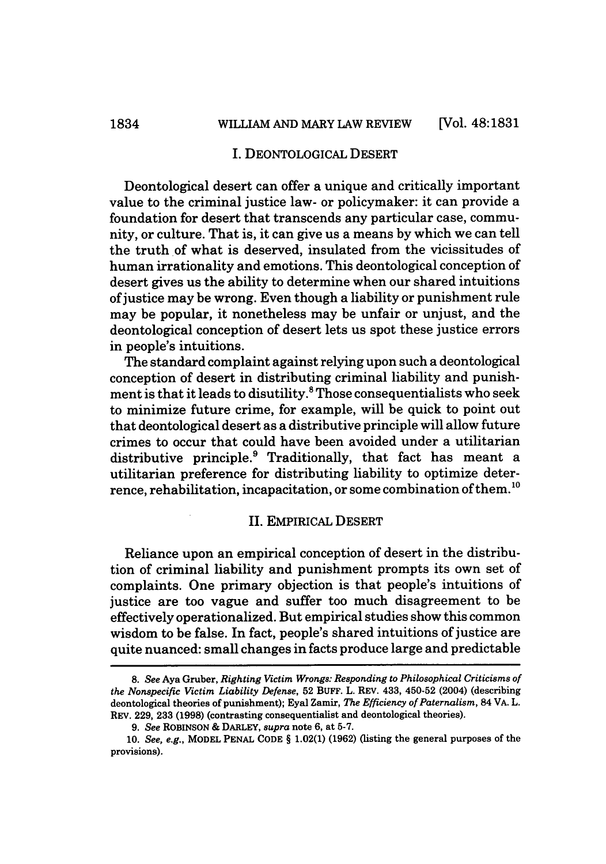#### I. DEONTOLOGICAL DESERT

Deontological desert can offer a unique and critically important value to the criminal justice law- or policymaker: it can provide a foundation for desert that transcends any particular case, community, or culture. That is, it can give us a means by which we can tell the truth of what is deserved, insulated from the vicissitudes of human irrationality and emotions. This deontological conception of desert gives us the ability to determine when our shared intuitions of justice may be wrong. Even though a liability or punishment rule may be popular, it nonetheless may be unfair or unjust, and the deontological conception of desert lets us spot these justice errors in people's intuitions.

The standard complaint against relying upon such a deontological conception of desert in distributing criminal liability and punishment is that it leads to disutility.<sup>8</sup> Those consequentialists who seek to minimize future crime, for example, will be quick to point out that deontological desert as a distributive principle will allow future crimes to occur that could have been avoided under a utilitarian distributive principle.<sup>9</sup> Traditionally, that fact has meant a utilitarian preference for distributing liability to optimize deterrence, rehabilitation, incapacitation, or some combination of them.<sup>10</sup>

#### II. EMPIRICAL DESERT

Reliance upon an empirical conception of desert in the distribution of criminal liability and punishment prompts its own set of complaints. One primary objection is that people's intuitions of justice are too vague and suffer too much disagreement to be effectively operationalized. But empirical studies show this common wisdom to be false. In fact, people's shared intuitions of justice are quite nuanced: small changes in facts produce large and predictable

*<sup>8.</sup> See* Aya Gruber, *Righting Victim Wrongs: Responding to Philosophical Criticisms of the Nonspecific Victim Liability Defense,* **52 BUFF.** L. REV. 433, 450-52 (2004) (describing deontological theories of punishment); Eyal Zamir, *The Efficiency of Paternalism,* 84 VA. L. REv. **229, 233 (1998)** (contrasting consequentialist and deontological theories).

*<sup>9.</sup> See* ROBINSON **&** DARLEY, *supra* note **6,** at **5-7.**

**<sup>10.</sup>** *See, e.g.,* MODEL **PENAL CODE** § 1.02(1) **(1962)** (listing the general purposes of the provisions).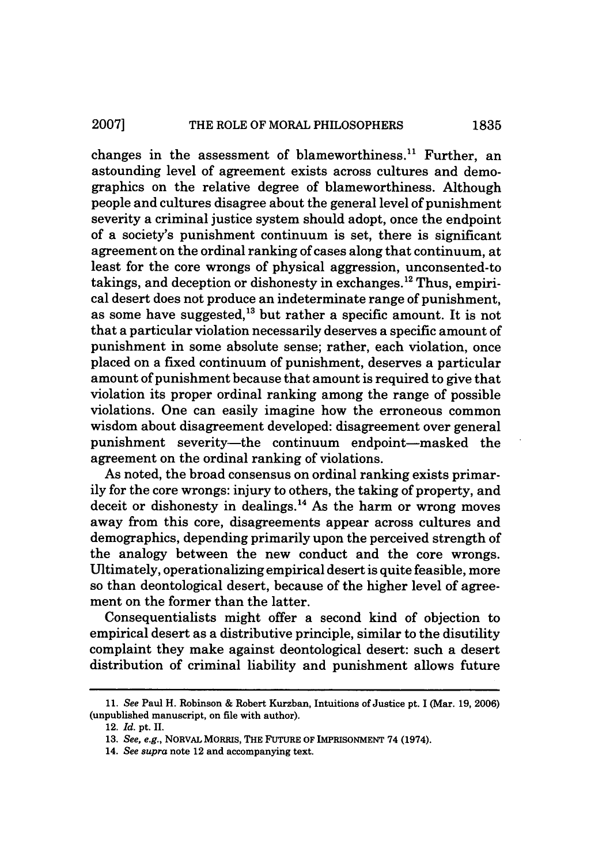changes in the assessment of blameworthiness.<sup>11</sup> Further, an astounding level of agreement exists across cultures and demographics on the relative degree of blameworthiness. Although people and cultures disagree about the general level of punishment severity a criminal justice system should adopt, once the endpoint of a society's punishment continuum is set, there is significant agreement on the ordinal ranking of cases along that continuum, at least for the core wrongs of physical aggression, unconsented-to takings, and deception or dishonesty in exchanges.<sup>12</sup> Thus, empirical desert does not produce an indeterminate range of punishment, as some have suggested,<sup>13</sup> but rather a specific amount. It is not that a particular violation necessarily deserves a specific amount of punishment in some absolute sense; rather, each violation, once placed on a fixed continuum of punishment, deserves a particular amount of punishment because that amount is required to give that violation its proper ordinal ranking among the range of possible violations. One can easily imagine how the erroneous common wisdom about disagreement developed: disagreement over general punishment severity—the continuum endpoint—masked the agreement on the ordinal ranking of violations.

As noted, the broad consensus on ordinal ranking exists primarily for the core wrongs: injury to others, the taking of property, and deceit or dishonesty in dealings.<sup>14</sup> As the harm or wrong moves away from this core, disagreements appear across cultures and demographics, depending primarily upon the perceived strength of the analogy between the new conduct and the core wrongs. Ultimately, operationalizing empirical desert is quite feasible, more so than deontological desert, because of the higher level of agreement on the former than the latter.

Consequentialists might offer a second kind of objection to empirical desert as a distributive principle, similar to the disutility complaint they make against deontological desert: such a desert distribution of criminal liability and punishment allows future

**<sup>11.</sup>** *See* Paul H. Robinson & Robert Kurzban, Intuitions of Justice **pt.** I **(Mar. 19, 2006)** (unpublished manuscript, on file with author).

<sup>12.</sup> *Id.* pt. II.

**<sup>13.</sup>** *See, e.g.,* NORVAL MORRIS, THE **FUTURE** OF IMPRISONMENT 74 (1974).

<sup>14.</sup> *See supra* note 12 and accompanying text.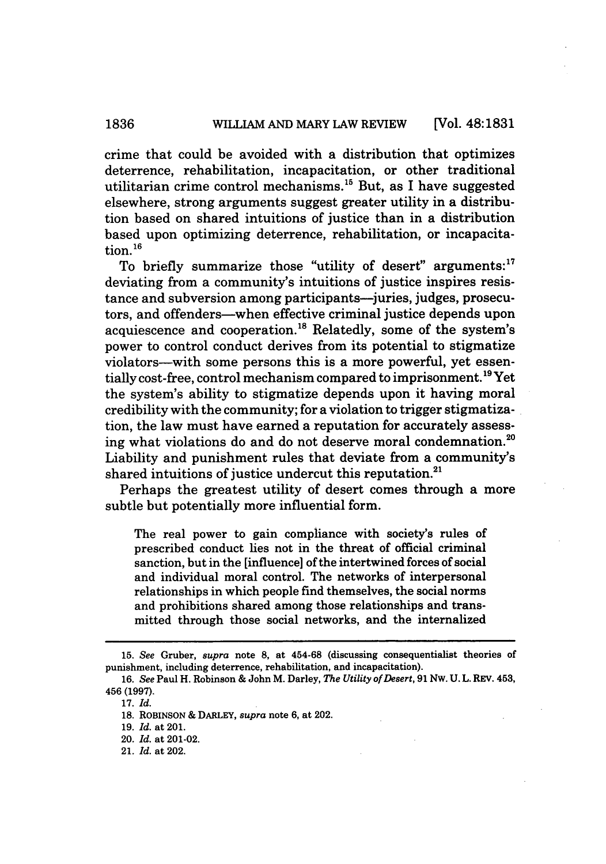crime that could be avoided with a distribution that optimizes deterrence, rehabilitation, incapacitation, or other traditional utilitarian crime control mechanisms.15 But, as I have suggested elsewhere, strong arguments suggest greater utility in a distribution based on shared intuitions of justice than in a distribution based upon optimizing deterrence, rehabilitation, or incapacitation.<sup>16</sup>

To briefly summarize those "utility of desert" arguments: $17$ deviating from a community's intuitions of justice inspires resistance and subversion among participants-juries, judges, prosecutors, and offenders—when effective criminal justice depends upon acquiescence and cooperation. 18 Relatedly, some of the system's power to control conduct derives from its potential to stigmatize violators-with some persons this is a more powerful, yet essentially cost-free, control mechanism compared to imprisonment.<sup>19</sup> Yet the system's ability to stigmatize depends upon it having moral credibility with the community; for a violation to trigger stigmatization, the law must have earned a reputation for accurately assessing what violations do and do not deserve moral condemnation.<sup>20</sup> Liability and punishment rules that deviate from a community's shared intuitions of justice undercut this reputation. $21$ 

Perhaps the greatest utility of desert comes through a more subtle but potentially more influential form.

The real power to gain compliance with society's rules of prescribed conduct lies not in the threat of official criminal sanction, but in the [influence] of the intertwined forces of social and individual moral control. The networks of interpersonal relationships in which people find themselves, the social norms and prohibitions shared among those relationships and transmitted through those social networks, and the internalized

**<sup>15.</sup>** *See* Gruber, *supra* note **8,** at 454-68 (discussing consequentialist theories of punishment, including deterrence, rehabilitation, and incapacitation).

**<sup>16.</sup>** *See* Paul H. Robinson **&** John M. Darley, *The Utility of Desert, 91* **Nw. U.** L. REV. 453, **456 (1997).**

<sup>17.</sup> *Id.*

**<sup>18.</sup>** ROBINSON & DARLEY, *supra* note **6,** at 202.

<sup>19.</sup> *Id.* at 201.

<sup>20.</sup> *Id.* at 201-02.

<sup>21.</sup> *Id.* at 202.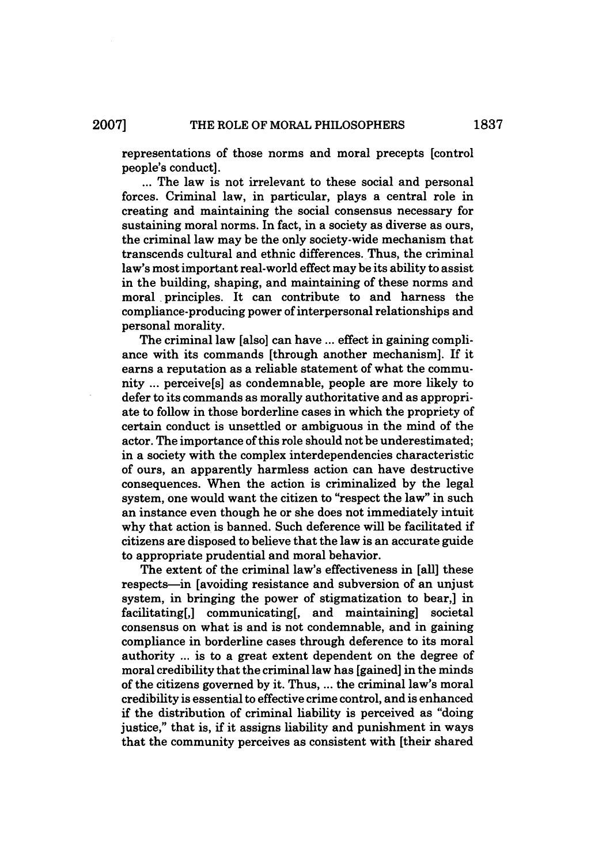representations of those norms and moral precepts [control people's conduct].

... The law is not irrelevant to these social and personal forces. Criminal law, in particular, plays a central role in creating and maintaining the social consensus necessary for sustaining moral norms. In fact, in a society as diverse as ours, the criminal law may be the only society-wide mechanism that transcends cultural and ethnic differences. Thus, the criminal law's most important real-world effect may be its ability to assist in the building, shaping, and maintaining of these norms and moral principles. It can contribute to and harness the compliance-producing power of interpersonal relationships and personal morality.

The criminal law [also] can have **...** effect in gaining compliance with its commands [through another mechanism]. If it earns a reputation as a reliable statement of what the community ... perceive[s] as condemnable, people are more likely to defer to its commands as morally authoritative and as appropriate to follow in those borderline cases in which the propriety of certain conduct is unsettled or ambiguous in the mind of the actor. The importance of this role should not be underestimated; in a society with the complex interdependencies characteristic of ours, an apparently harmless action can have destructive consequences. When the action is criminalized by the legal system, one would want the citizen to "respect the law" in such an instance even though he or she does not immediately intuit why that action is banned. Such deference will be facilitated if citizens are disposed to believe that the law is an accurate guide to appropriate prudential and moral behavior.

The extent of the criminal law's effectiveness in [all] these respects-in [avoiding resistance and subversion of an unjust system, in bringing the power of stigmatization to bear,] in facilitating[,] communicating[, and maintaining] societal consensus on what is and is not condemnable, and in gaining compliance in borderline cases through deference to its moral authority ... is to a great extent dependent on the degree of moral credibility that the criminal law has [gained] in the minds of the citizens governed by it. Thus, ... the criminal law's moral credibility is essential to effective crime control, and is enhanced if the distribution of criminal liability is perceived as "doing justice," that is, if it assigns liability and punishment in ways that the community perceives as consistent with [their shared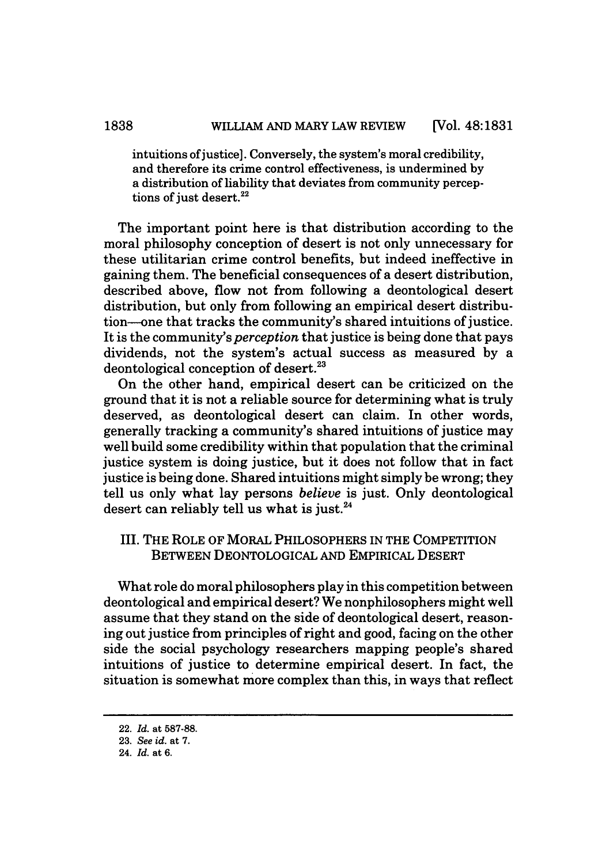intuitions of justice]. Conversely, the system's moral credibility, and therefore its crime control effectiveness, is undermined by a distribution of liability that deviates from community perceptions of just desert.<sup>22</sup>

The important point here is that distribution according to the moral philosophy conception of desert is not only unnecessary for these utilitarian crime control benefits, but indeed ineffective in gaining them. The beneficial consequences of a desert distribution, described above, flow not from following a deontological desert distribution, but only from following an empirical desert distribution--one that tracks the community's shared intuitions of justice. It is the community's *perception* that justice is being done that pays dividends, not the system's actual success as measured by a deontological conception of desert.<sup>23</sup>

On the other hand, empirical desert can be criticized on the ground that it is not a reliable source for determining what is truly deserved, as deontological desert can claim. In other words, generally tracking a community's shared intuitions of justice may well build some credibility within that population that the criminal justice system is doing justice, but it does not follow that in fact justice is being done. Shared intuitions might simply be wrong; they tell us only what lay persons *believe* is just. Only deontological desert can reliably tell us what is just.<sup>24</sup>

# III. THE ROLE OF MORAL PHILOSOPHERS IN THE COMPETITION BETWEEN DEONTOLOGICAL AND EMPIRICAL DESERT

What role do moral philosophers play in this competition between deontological and empirical desert? We nonphilosophers might well assume that they stand on the side of deontological desert, reasoning out justice from principles of right and good, facing on the other side the social psychology researchers mapping people's shared intuitions of justice to determine empirical desert. In fact, the situation is somewhat more complex than this, in ways that reflect

<sup>22.</sup> *Id.* at 587-88.

<sup>23.</sup> *See id.* at 7.

<sup>24.</sup> *Id.* at 6.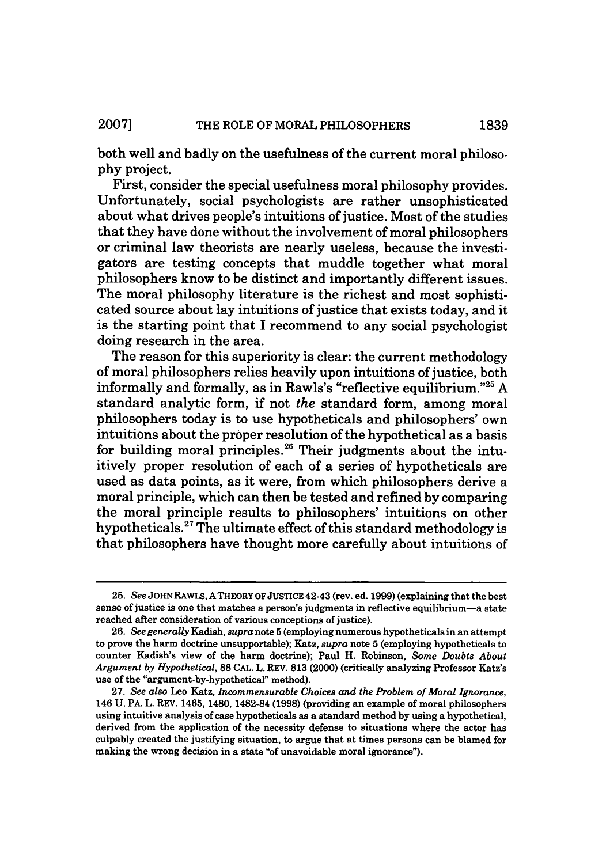both well and badly on the usefulness of the current moral philosophy project.

First, consider the special usefulness moral philosophy provides. Unfortunately, social psychologists are rather unsophisticated about what drives people's intuitions of justice. Most of the studies that they have done without the involvement of moral philosophers or criminal law theorists are nearly useless, because the investigators are testing concepts that muddle together what moral philosophers know to be distinct and importantly different issues. The moral philosophy literature is the richest and most sophisticated source about lay intuitions of justice that exists today, and it is the starting point that I recommend to any social psychologist doing research in the area.

The reason for this superiority is clear: the current methodology of moral philosophers relies heavily upon intuitions of justice, both informally and formally, as in Rawls's "reflective equilibrium."25 A standard analytic form, if not the standard form, among moral philosophers today is to use hypotheticals and philosophers' own intuitions about the proper resolution of the hypothetical as a basis for building moral principles.<sup>26</sup> Their judgments about the intuitively proper resolution of each of a series of hypotheticals are used as data points, as it were, from which philosophers derive a moral principle, which can then be tested and refined by comparing the moral principle results to philosophers' intuitions on other hypotheticals.<sup>27</sup> The ultimate effect of this standard methodology is that philosophers have thought more carefully about intuitions of

**<sup>25.</sup>** *See* **JOHNRAWiS, ATHEORY OFJUSTICE** 42-43 (rev. ed. **1999)** (explaining that the best sense of justice is one that matches a person's judgments in reflective equilibrium-a state reached after consideration of various conceptions of justice).

<sup>26.</sup> *See generally* Kadish, *supra* note 5 (employing numerous hypotheticals in an attempt to prove the harm doctrine unsupportable); Katz, *supra* note 5 (employing hypotheticals to counter Kadish's view of the harm doctrine); Paul H. Robinson, *Some Doubts About Argument by Hypothetical,* 88 **CAL.** L. REV. **813** (2000) (critically analyzing Professor Katz's use of the "argument-by-hypothetical" method).

<sup>27.</sup> *See also* Leo Katz, *Incommensurable Choices and the Problem of Moral Ignorance,* 146 U. PA. L. REV. 1465, 1480, 1482-84 (1998) (providing an example of moral philosophers using intuitive analysis of case hypotheticals as a standard method by using a hypothetical, derived from the application of the necessity defense to situations where the actor has culpably created the justifying situation, to argue that at times persons can be blamed for making the wrong decision in a state "of unavoidable moral ignorance').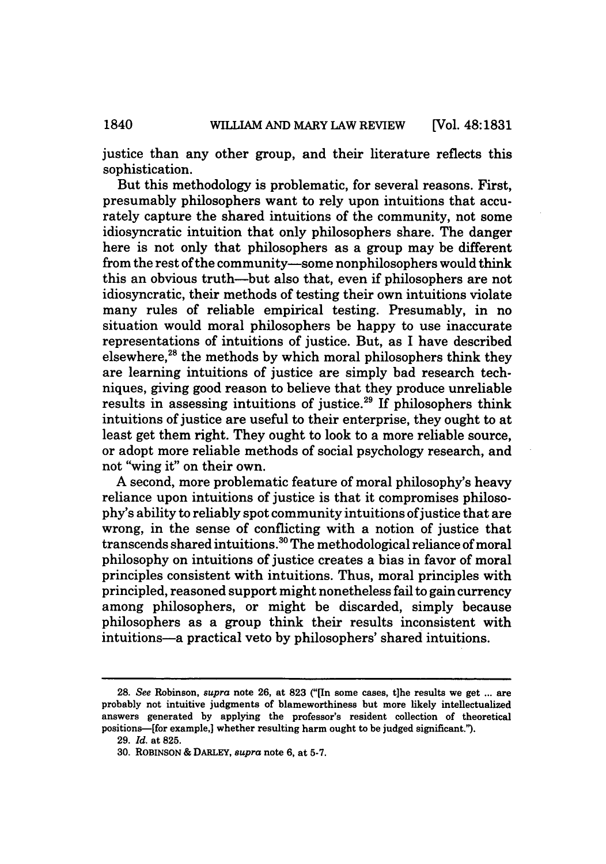justice than any other group, and their literature reflects this sophistication.

But this methodology is problematic, for several reasons. First, presumably philosophers want to rely upon intuitions that accurately capture the shared intuitions of the community, not some idiosyncratic intuition that only philosophers share. The danger here is not only that philosophers as a group may be different from the rest of the community-some nonphilosophers would think this an obvious truth-but also that, even if philosophers are not idiosyncratic, their methods of testing their own intuitions violate many rules of reliable empirical testing. Presumably, in no situation would moral philosophers be happy to use inaccurate representations of intuitions of justice. But, as I have described elsewhere.<sup>28</sup> the methods by which moral philosophers think they are learning intuitions of justice are simply bad research techniques, giving good reason to believe that they produce unreliable results in assessing intuitions of justice.<sup>29</sup> If philosophers think intuitions of justice are useful to their enterprise, they ought to at least get them right. They ought to look to a more reliable source, or adopt more reliable methods of social psychology research, and not "wing it" on their own.

A second, more problematic feature of moral philosophy's heavy reliance upon intuitions of justice is that it compromises philosophy's ability to reliably spot community intuitions of justice that are wrong, in the sense of conflicting with a notion of justice that transcends shared intuitions.<sup>30</sup> The methodological reliance of moral philosophy on intuitions of justice creates a bias in favor of moral principles consistent with intuitions. Thus, moral principles with principled, reasoned support might nonetheless fail to gain currency among philosophers, or might be discarded, simply because philosophers as a group think their results inconsistent with intuitions-a practical veto by philosophers' shared intuitions.

**<sup>28.</sup>** *See* Robinson, *supra* note **26,** at **823 ('[In** some cases, t]he results we get **...** are probably not intuitive judgments of blameworthiness but more likely intellectualized answers generated **by** applying the professor's resident collection of theoretical positions-[for example,] whether resulting harm ought to be judged significant.").

**<sup>29.</sup>** *Id.* at **825.**

**<sup>30.</sup> ROBINSON & DARLEY,** *supra* note **6,** at **5-7.**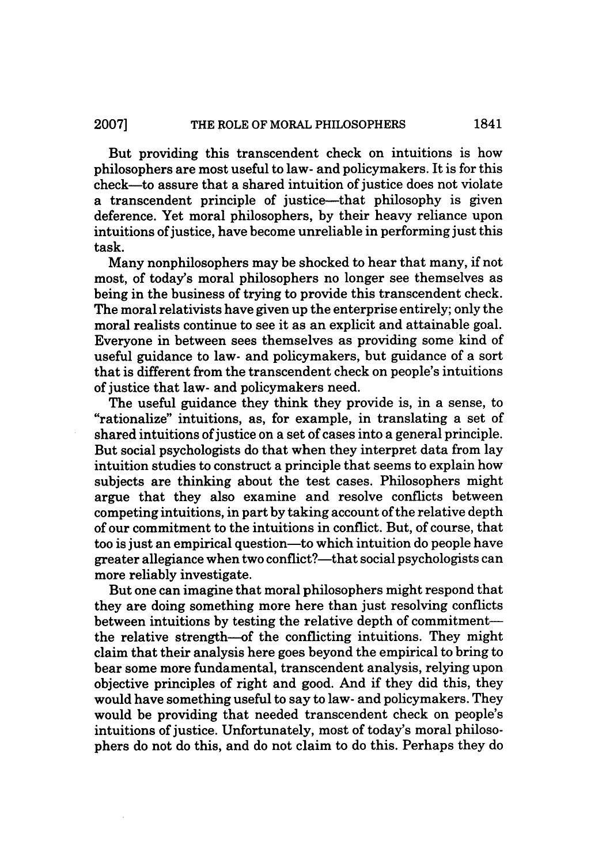But providing this transcendent check on intuitions is how philosophers are most useful to law- and policymakers. It is for this check-to assure that a shared intuition of justice does not violate a transcendent principle of justice-that philosophy is given deference. Yet moral philosophers, by their heavy reliance upon intuitions of justice, have become unreliable in performing just this task.

Many nonphilosophers may be shocked to hear that many, if not most, of today's moral philosophers no longer see themselves as being in the business of trying to provide this transcendent check. The moral relativists have given up the enterprise entirely; only the moral realists continue to see it as an explicit and attainable goal. Everyone in between sees themselves as providing some kind of useful guidance to law- and policymakers, but guidance of a sort that is different from the transcendent check on people's intuitions of justice that law- and policymakers need.

The useful guidance they think they provide is, in a sense, to "rationalize" intuitions, as, for example, in translating a set of shared intuitions of justice on a set of cases into a general principle. But social psychologists do that when they interpret data from lay intuition studies to construct a principle that seems to explain how subjects are thinking about the test cases. Philosophers might argue that they also examine and resolve conflicts between competing intuitions, in part by taking account of the relative depth of our commitment to the intuitions in conflict. But, of course, that too is just an empirical question-to which intuition do people have greater allegiance when two conflict?--that social psychologists can more reliably investigate.

But one can imagine that moral philosophers might respond that they are doing something more here than just resolving conflicts between intuitions by testing the relative depth of commitmentthe relative strength--of the conflicting intuitions. They might claim that their analysis here goes beyond the empirical to bring to bear some more fundamental, transcendent analysis, relying upon objective principles of right and good. And if they did this, they would have something useful to say to law- and policymakers. They would be providing that needed transcendent check on people's intuitions of justice. Unfortunately, most of today's moral philosophers do not do this, and do not claim to do this. Perhaps they do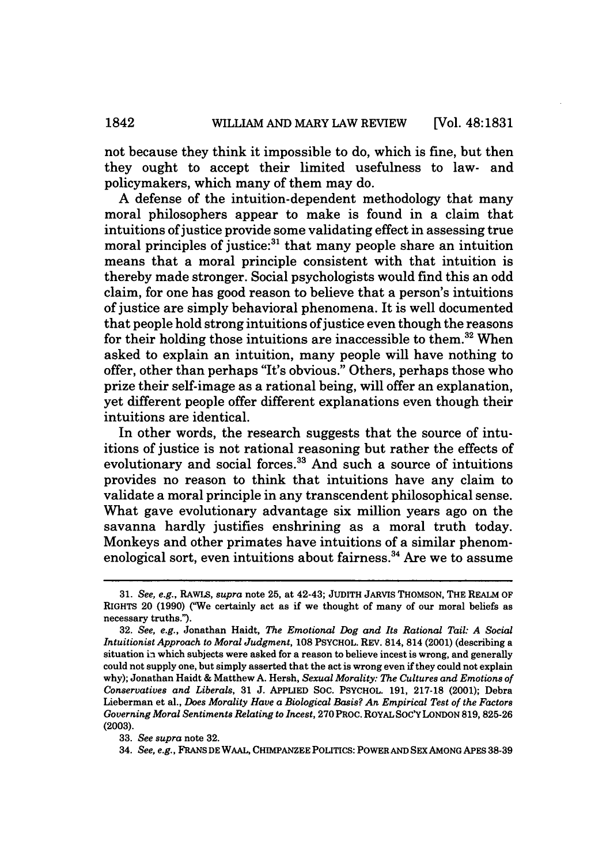not because they think it impossible to do, which is fine, but then they ought to accept their limited usefulness to law- and policymakers, which many of them may do.

A defense of the intuition-dependent methodology that many moral philosophers appear to make is found in a claim that intuitions of justice provide some validating effect in assessing true moral principles of justice:<sup>31</sup> that many people share an intuition means that a moral principle consistent with that intuition is thereby made stronger. Social psychologists would find this an odd claim, for one has good reason to believe that a person's intuitions of justice are simply behavioral phenomena. It is well documented that people hold strong intuitions of justice even though the reasons for their holding those intuitions are inaccessible to them.32 When asked to explain an intuition, many people will have nothing to offer, other than perhaps "It's obvious." Others, perhaps those who prize their self-image as a rational being, will offer an explanation, yet different people offer different explanations even though their intuitions are identical.

In other words, the research suggests that the source of intuitions of justice is not rational reasoning but rather the effects of evolutionary and social forces.<sup>33</sup> And such a source of intuitions provides no reason to think that intuitions have any claim to validate a moral principle in any transcendent philosophical sense. What gave evolutionary advantage six million years ago on the savanna hardly justifies enshrining as a moral truth today. Monkeys and other primates have intuitions of a similar phenomenological sort, even intuitions about fairness.<sup>34</sup> Are we to assume

34. *See, e.g.,* **FRANS DE WAAL, CHIMPANZEE POLITICS:** POWER **AND** SEX **AMONG** APES **38-39**

**<sup>31.</sup>** *See, e.g.,* **RAWLS,** *supra* note **25,** at 42-43; JUDITH **JARVIs THOMSON,** THE **REALM** OF RIGHTS 20 (1990) ("We certainly act as if we thought of many of our moral beliefs as necessary truths.').

<sup>32.</sup> *See, e.g.,* Jonathan Haidt, *The Emotional Dog and Its Rational Tail: A Social Intuitionist Approach to Moral Judgment,* **108** PSYCHOL. REV. 814, 814 (2001) (describing a situation in which subjects were asked for a reason to believe incest is wrong, and generally could not supply one, but simply asserted that the act is wrong even if they could not explain why); Jonathan Haidt & Matthew A. Hersh, *Sexual Morality: The Cultures and Emotions of Conservatives and Liberals,* **31 J.** APPLIED **SOC. PSYCHOL. 191, 217-18** (2001); Debra Lieberman et al., *Does Morality Have a Biological Basis? An Empirical Test of the Factors Governing Moral Sentiments Relating to Incest,* 270 **PROC.** ROYAL **Soc'y** LONDON **819, 825-26 (2003).**

**<sup>33.</sup>** *See supra* note 32.